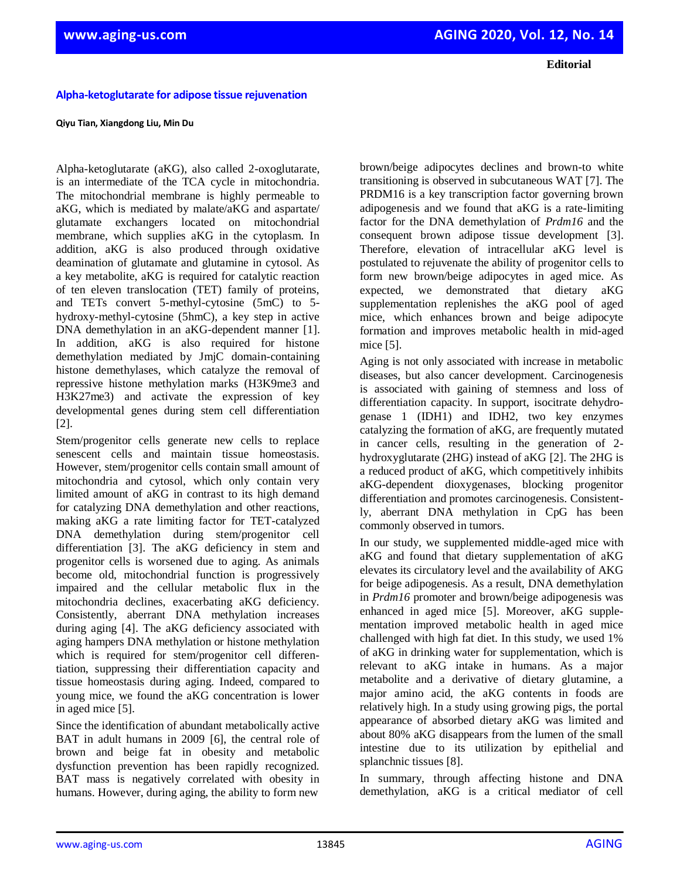**Editorial**

### **Alpha-ketoglutarate for adipose tissue rejuvenation**

#### **Qiyu Tian, Xiangdong Liu, Min Du**

Alpha-ketoglutarate (aKG), also called 2-oxoglutarate, is an intermediate of the TCA cycle in mitochondria. The mitochondrial membrane is highly permeable to aKG, which is mediated by malate/aKG and aspartate/ glutamate exchangers located on mitochondrial membrane, which supplies aKG in the cytoplasm. In addition, aKG is also produced through oxidative deamination of glutamate and glutamine in cytosol. As a key metabolite, aKG is required for catalytic reaction of ten eleven translocation (TET) family of proteins, and TETs convert 5-methyl-cytosine (5mC) to 5 hydroxy-methyl-cytosine (5hmC), a key step in active DNA demethylation in an aKG-dependent manner [1]. In addition, aKG is also required for histone demethylation mediated by JmjC domain-containing histone demethylases, which catalyze the removal of repressive histone methylation marks (H3K9me3 and H3K27me3) and activate the expression of key developmental genes during stem cell differentiation [2].

Stem/progenitor cells generate new cells to replace senescent cells and maintain tissue homeostasis. However, stem/progenitor cells contain small amount of mitochondria and cytosol, which only contain very limited amount of aKG in contrast to its high demand for catalyzing DNA demethylation and other reactions, making aKG a rate limiting factor for TET-catalyzed DNA demethylation during stem/progenitor cell differentiation [3]. The aKG deficiency in stem and progenitor cells is worsened due to aging. As animals become old, mitochondrial function is progressively impaired and the cellular metabolic flux in the mitochondria declines, exacerbating aKG deficiency. Consistently, aberrant DNA methylation increases during aging [4]. The aKG deficiency associated with aging hampers DNA methylation or histone methylation which is required for stem/progenitor cell differentiation, suppressing their differentiation capacity and tissue homeostasis during aging. Indeed, compared to young mice, we found the aKG concentration is lower in aged mice [5].

Since the identification of abundant metabolically active BAT in adult humans in 2009 [6], the central role of brown and beige fat in obesity and metabolic dysfunction prevention has been rapidly recognized. BAT mass is negatively correlated with obesity in humans. However, during aging, the ability to form new

brown/beige adipocytes declines and brown-to white transitioning is observed in subcutaneous WAT [7]. The PRDM16 is a key transcription factor governing brown adipogenesis and we found that aKG is a rate-limiting factor for the DNA demethylation of *Prdm16* and the consequent brown adipose tissue development [3]. Therefore, elevation of intracellular aKG level is postulated to rejuvenate the ability of progenitor cells to form new brown/beige adipocytes in aged mice. As expected, we demonstrated that dietary aKG supplementation replenishes the aKG pool of aged mice, which enhances brown and beige adipocyte formation and improves metabolic health in mid-aged mice [5].

Aging is not only associated with increase in metabolic diseases, but also cancer development. Carcinogenesis is associated with gaining of stemness and loss of differentiation capacity. In support, isocitrate dehydrogenase 1 (IDH1) and IDH2, two key enzymes catalyzing the formation of aKG, are frequently mutated in cancer cells, resulting in the generation of 2 hydroxyglutarate (2HG) instead of aKG [2]. The 2HG is a reduced product of aKG, which competitively inhibits aKG-dependent dioxygenases, blocking progenitor differentiation and promotes carcinogenesis. Consistently, aberrant DNA methylation in CpG has been commonly observed in tumors.

In our study, we supplemented middle-aged mice with aKG and found that dietary supplementation of aKG elevates its circulatory level and the availability of AKG for beige adipogenesis. As a result, DNA demethylation in *Prdm16* promoter and brown/beige adipogenesis was enhanced in aged mice [5]. Moreover, aKG supplementation improved metabolic health in aged mice challenged with high fat diet. In this study, we used 1% of aKG in drinking water for supplementation, which is relevant to aKG intake in humans. As a major metabolite and a derivative of dietary glutamine, a major amino acid, the aKG contents in foods are relatively high. In a study using growing pigs, the portal appearance of absorbed dietary aKG was limited and about 80% aKG disappears from the lumen of the small intestine due to its utilization by epithelial and splanchnic tissues [8].

In summary, through affecting histone and DNA demethylation, aKG is a critical mediator of cell